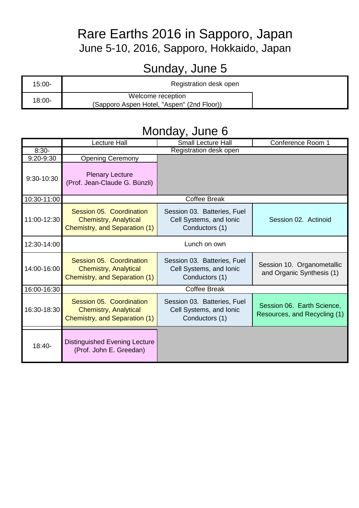#### Rare Earths 2016 in Sapporo, Japan June 5-10, 2016, Sapporo, Hokkaido, Japan

# Sunday, June 5

| $15:00 -$ | Registration desk open                                          |  |
|-----------|-----------------------------------------------------------------|--|
| 18:00-    | Welcome reception<br>(Sapporo Aspen Hotel, "Aspen" (2nd Floor)) |  |

#### Monday, June 6

|             | <b>Lecture Hall</b>                                                                       | Small Lecture Hall                                                       | Conference Room 1                                          |  |
|-------------|-------------------------------------------------------------------------------------------|--------------------------------------------------------------------------|------------------------------------------------------------|--|
| $8:30-$     | Registration desk open                                                                    |                                                                          |                                                            |  |
| 9:20-9:30   | <b>Opening Ceremony</b>                                                                   |                                                                          |                                                            |  |
| 9:30-10:30  | <b>Plenary Lecture</b><br>(Prof. Jean-Claude G. Bünzli)                                   |                                                                          |                                                            |  |
| 10:30-11:00 |                                                                                           | <b>Coffee Break</b>                                                      |                                                            |  |
| 11:00-12:30 | Session 05. Coordination<br><b>Chemistry, Analytical</b><br>Chemistry, and Separation (1) | Session 03. Batteries, Fuel<br>Cell Systems, and Ionic<br>Conductors (1) | Session 02. Actinoid                                       |  |
| 12:30-14:00 | Lunch on own                                                                              |                                                                          |                                                            |  |
| 14:00-16:00 | Session 05. Coordination<br><b>Chemistry, Analytical</b><br>Chemistry, and Separation (1) | Session 03. Batteries, Fuel<br>Cell Systems, and Ionic<br>Conductors (1) | Session 10. Organometallic<br>and Organic Synthesis (1)    |  |
| 16:00-16:30 | <b>Coffee Break</b>                                                                       |                                                                          |                                                            |  |
| 16:30-18:30 | Session 05. Coordination<br><b>Chemistry, Analytical</b><br>Chemistry, and Separation (1) | Session 03. Batteries, Fuel<br>Cell Systems, and Ionic<br>Conductors (1) | Session 06. Earth Science,<br>Resources, and Recycling (1) |  |
| $18:40-$    | <b>Distinguished Evening Lecture</b><br>(Prof. John E. Greedan)                           |                                                                          |                                                            |  |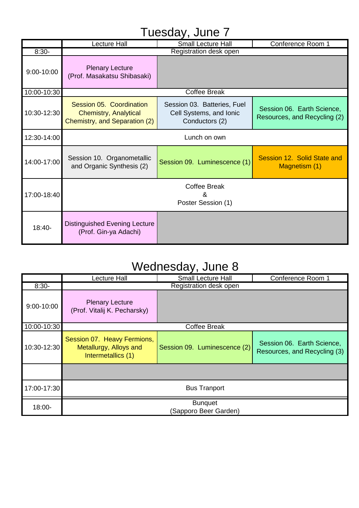#### Tuesday, June 7

|             | Lecture Hall                                                                              | Small Lecture Hall                                                       | Conference Room 1                                          |
|-------------|-------------------------------------------------------------------------------------------|--------------------------------------------------------------------------|------------------------------------------------------------|
| $8:30-$     | Registration desk open                                                                    |                                                                          |                                                            |
| 9:00-10:00  | <b>Plenary Lecture</b><br>(Prof. Masakatsu Shibasaki)                                     |                                                                          |                                                            |
| 10:00-10:30 | <b>Coffee Break</b>                                                                       |                                                                          |                                                            |
| 10:30-12:30 | Session 05. Coordination<br><b>Chemistry, Analytical</b><br>Chemistry, and Separation (2) | Session 03. Batteries, Fuel<br>Cell Systems, and Ionic<br>Conductors (2) | Session 06. Earth Science,<br>Resources, and Recycling (2) |
| 12:30-14:00 | Lunch on own                                                                              |                                                                          |                                                            |
| 14:00-17:00 | Session 10. Organometallic<br>and Organic Synthesis (2)                                   | Session 09. Luminescence (1)                                             | Session 12. Solid State and<br>Magnetism (1)               |
| 17:00-18:40 | <b>Coffee Break</b><br>х.<br>Poster Session (1)                                           |                                                                          |                                                            |
| $18:40-$    | <b>Distinguished Evening Lecture</b><br>(Prof. Gin-ya Adachi)                             |                                                                          |                                                            |

#### Wednesday, June 8

| , ,         |                                                                             |                              |                                                            |
|-------------|-----------------------------------------------------------------------------|------------------------------|------------------------------------------------------------|
|             | <b>Lecture Hall</b>                                                         | <b>Small Lecture Hall</b>    | Conference Room 1                                          |
| $8:30-$     | Registration desk open                                                      |                              |                                                            |
| 9:00-10:00  | <b>Plenary Lecture</b><br>(Prof. Vitalij K. Pecharsky)                      |                              |                                                            |
| 10:00-10:30 | <b>Coffee Break</b>                                                         |                              |                                                            |
| 10:30-12:30 | Session 07. Heavy Fermions,<br>Metallurgy, Alloys and<br>Intermetallics (1) | Session 09. Luminescence (2) | Session 06. Earth Science,<br>Resources, and Recycling (3) |
|             |                                                                             |                              |                                                            |
| 17:00-17:30 | <b>Bus Tranport</b>                                                         |                              |                                                            |
| 18:00-      | <b>Bunquet</b><br>(Sapporo Beer Garden)                                     |                              |                                                            |